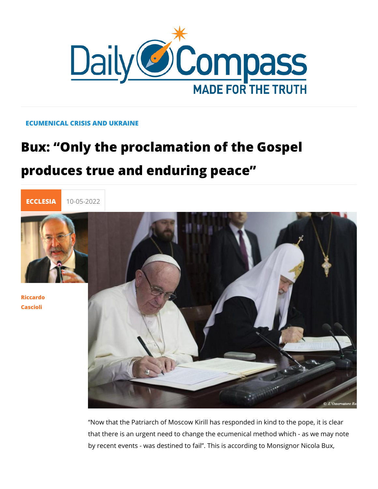### ECUMENICAL CRISIS AND UKRAINE

# Bux: Only the proclamation of the Gos produces true and enduring peace



[Riccar](/en/riccardo-cascioli)do [Casci](/en/riccardo-cascioli)oli

> Now that the Patriarch of Moscow Kirill has responded in kind that there is an urgent need to change the ecumenical method by recent events - was destined to fail . This is according to N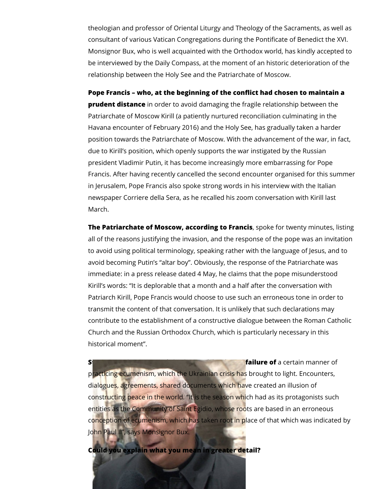theologian and professor of Oriental Liturgy and Theology of the Sacraments, as well as consultant of various Vatican Congregations during the Pontificate of Benedict the XVI. Monsignor Bux, who is well acquainted with the Orthodox world, has kindly accepted to be interviewed by the Daily Compass, at the moment of an historic deterioration of the relationship between the Holy See and the Patriarchate of Moscow.

**Pope Francis – who, at the beginning of the conflict had chosen to maintain a prudent distance** in order to avoid damaging the fragile relationship between the Patriarchate of Moscow Kirill (a patiently nurtured reconciliation culminating in the Havana encounter of February 2016) and the Holy See, has gradually taken a harder position towards the Patriarchate of Moscow. With the advancement of the war, in fact, due to Kirill's position, which openly supports the war instigated by the Russian president Vladimir Putin, it has become increasingly more embarrassing for Pope Francis. After having recently cancelled the second encounter organised for this summer in Jerusalem, Pope Francis also spoke strong words in his interview with the Italian newspaper Corriere della Sera, as he recalled his zoom conversation with Kirill last March.

**The Patriarchate of Moscow, according to Francis**, spoke for twenty minutes, listing all of the reasons justifying the invasion, and the response of the pope was an invitation to avoid using political terminology, speaking rather with the language of Jesus, and to avoid becoming Putin's "altar boy". Obviously, the response of the Patriarchate was immediate: in a press release dated 4 May, he claims that the pope misunderstood Kirill's words: "It is deplorable that a month and a half after the conversation with Patriarch Kirill, Pope Francis would choose to use such an erroneous tone in order to transmit the content of that conversation. It is unlikely that such declarations may contribute to the establishment of a constructive dialogue between the Roman Catholic Church and the Russian Orthodox Church, which is particularly necessary in this historical moment".

**Strong words, yet certain manner of** *Strong words Strong words Certain manner of* practicing ecumenism, which the Ukrainian crisis has brought to light. Encounters, dialogues, agreements, shared documents which have created an illusion of constructing peace in the world. "It is the season which had as its protagonists such entities as the Community of Saint Egidio, whose roots are based in an erroneous conception of ecumenism, which has taken root in place of that which was indicated by John Paul II", says Monsignor Bux.

**Could you explain what you mean in greater detail?**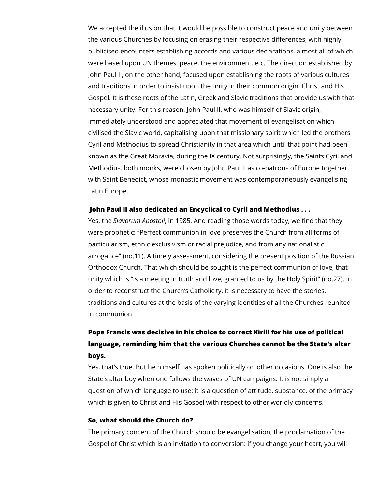We accepted the illusion that it would be possible to construct peace and unity between the various Churches by focusing on erasing their respective differences, with highly publicised encounters establishing accords and various declarations, almost all of which were based upon UN themes: peace, the environment, etc. The direction established by John Paul II, on the other hand, focused upon establishing the roots of various cultures and traditions in order to insist upon the unity in their common origin: Christ and His Gospel. It is these roots of the Latin, Greek and Slavic traditions that provide us with that necessary unity. For this reason, John Paul II, who was himself of Slavic origin, immediately understood and appreciated that movement of evangelisation which civilised the Slavic world, capitalising upon that missionary spirit which led the brothers Cyril and Methodius to spread Christianity in that area which until that point had been known as the Great Moravia, during the IX century. Not surprisingly, the Saints Cyril and Methodius, both monks, were chosen by John Paul II as co-patrons of Europe together with Saint Benedict, whose monastic movement was contemporaneously evangelising Latin Europe.

#### **John Paul II also dedicated an Encyclical to Cyril and Methodius . . .**

Yes, the *Slavorum Apostoli*, in 1985. And reading those words today, we find that they were prophetic: "Perfect communion in love preserves the Church from all forms of particularism, ethnic exclusivism or racial prejudice, and from any nationalistic arrogance" (no.11). A timely assessment, considering the present position of the Russian Orthodox Church. That which should be sought is the perfect communion of love, that unity which is "is a meeting in truth and love, granted to us by the Holy Spirit" (no.27). In order to reconstruct the Church's Catholicity, it is necessary to have the stories, traditions and cultures at the basis of the varying identities of all the Churches reunited in communion.

## **Pope Francis was decisive in his choice to correct Kirill for his use of political language, reminding him that the various Churches cannot be the State's altar boys.**

Yes, that's true. But he himself has spoken politically on other occasions. One is also the State's altar boy when one follows the waves of UN campaigns. It is not simply a question of which language to use: it is a question of attitude, substance, of the primacy which is given to Christ and His Gospel with respect to other worldly concerns.

#### **So, what should the Church do?**

The primary concern of the Church should be evangelisation, the proclamation of the Gospel of Christ which is an invitation to conversion: if you change your heart, you will